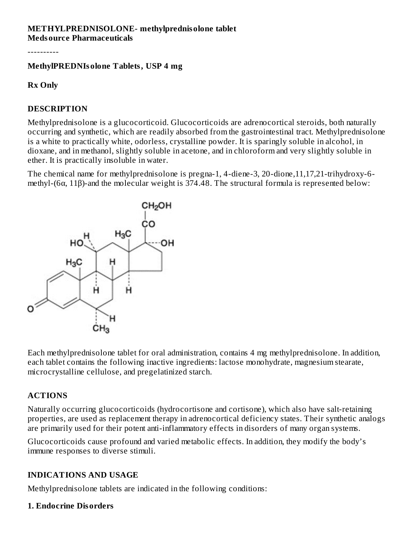#### **METHYLPREDNISOLONE- methylprednisolone tablet Medsource Pharmaceuticals**

----------

#### **MethylPREDNIsolone Tablets, USP 4 mg**

#### **Rx Only**

#### **DESCRIPTION**

Methylprednisolone is a glucocorticoid. Glucocorticoids are adrenocortical steroids, both naturally occurring and synthetic, which are readily absorbed from the gastrointestinal tract. Methylprednisolone is a white to practically white, odorless, crystalline powder. It is sparingly soluble in alcohol, in dioxane, and in methanol, slightly soluble in acetone, and in chloroform and very slightly soluble in ether. It is practically insoluble in water.

The chemical name for methylprednisolone is pregna-1, 4-diene-3, 20-dione,11,17,21-trihydroxy-6 methyl-(6α, 11β)-and the molecular weight is 374.48. The structural formula is represented below:



Each methylprednisolone tablet for oral administration, contains 4 mg methylprednisolone. In addition, each tablet contains the following inactive ingredients: lactose monohydrate, magnesium stearate, microcrystalline cellulose, and pregelatinized starch.

#### **ACTIONS**

Naturally occurring glucocorticoids (hydrocortisone and cortisone), which also have salt-retaining properties, are used as replacement therapy in adrenocortical deficiency states. Their synthetic analogs are primarily used for their potent anti-inflammatory effects in disorders of many organ systems.

Glucocorticoids cause profound and varied metabolic effects. In addition, they modify the body's immune responses to diverse stimuli.

#### **INDICATIONS AND USAGE**

Methylprednisolone tablets are indicated in the following conditions:

#### **1. Endocrine Disorders**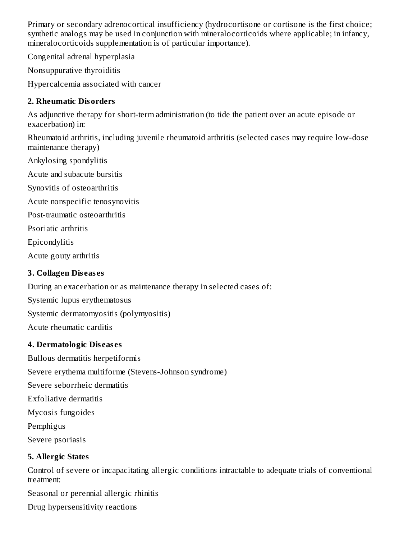Primary or secondary adrenocortical insufficiency (hydrocortisone or cortisone is the first choice; synthetic analogs may be used in conjunction with mineralocorticoids where applicable; in infancy, mineralocorticoids supplementation is of particular importance).

Congenital adrenal hyperplasia

Nonsuppurative thyroiditis

Hypercalcemia associated with cancer

## **2. Rheumatic Disorders**

As adjunctive therapy for short-term administration (to tide the patient over an acute episode or exacerbation) in:

Rheumatoid arthritis, including juvenile rheumatoid arthritis (selected cases may require low-dose maintenance therapy)

- Ankylosing spondylitis
- Acute and subacute bursitis
- Synovitis of osteoarthritis
- Acute nonspecific tenosynovitis
- Post-traumatic osteoarthritis
- Psoriatic arthritis
- Epicondylitis
- Acute gouty arthritis

# **3. Collagen Dis eas es**

During an exacerbation or as maintenance therapy in selected cases of:

- Systemic lupus erythematosus
- Systemic dermatomyositis (polymyositis)
- Acute rheumatic carditis

## **4. Dermatologic Dis eas es**

- Bullous dermatitis herpetiformis
- Severe erythema multiforme (Stevens-Johnson syndrome)
- Severe seborrheic dermatitis
- Exfoliative dermatitis
- Mycosis fungoides
- Pemphigus
- Severe psoriasis

# **5. Allergic States**

Control of severe or incapacitating allergic conditions intractable to adequate trials of conventional treatment:

Seasonal or perennial allergic rhinitis

Drug hypersensitivity reactions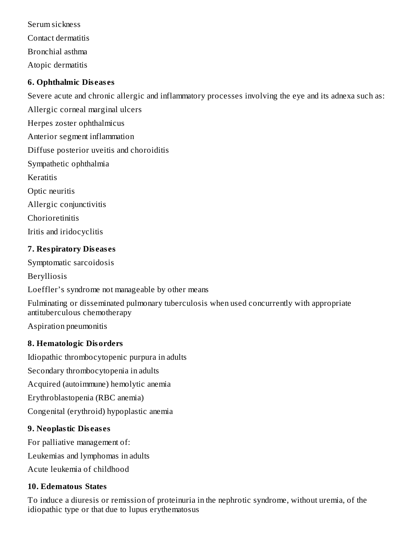Serum sickness Contact dermatitis Bronchial asthma

Atopic dermatitis

### **6. Ophthalmic Dis eas es**

Severe acute and chronic allergic and inflammatory processes involving the eye and its adnexa such as:

Allergic corneal marginal ulcers

Herpes zoster ophthalmicus

Anterior segment inflammation

Diffuse posterior uveitis and choroiditis

Sympathetic ophthalmia

**Keratitis** 

Optic neuritis

Allergic conjunctivitis

**Chorioretinitis** 

Iritis and iridocyclitis

### **7. Respiratory Dis eas es**

Symptomatic sarcoidosis Berylliosis

Loeffler's syndrome not manageable by other means

Fulminating or disseminated pulmonary tuberculosis when used concurrently with appropriate antituberculous chemotherapy

Aspiration pneumonitis

### **8. Hematologic Disorders**

Idiopathic thrombocytopenic purpura in adults Secondary thrombocytopenia in adults Acquired (autoimmune) hemolytic anemia Erythroblastopenia (RBC anemia) Congenital (erythroid) hypoplastic anemia

### **9. Neoplastic Dis eas es**

For palliative management of: Leukemias and lymphomas in adults Acute leukemia of childhood

### **10. Edematous States**

To induce a diuresis or remission of proteinuria in the nephrotic syndrome, without uremia, of the idiopathic type or that due to lupus erythematosus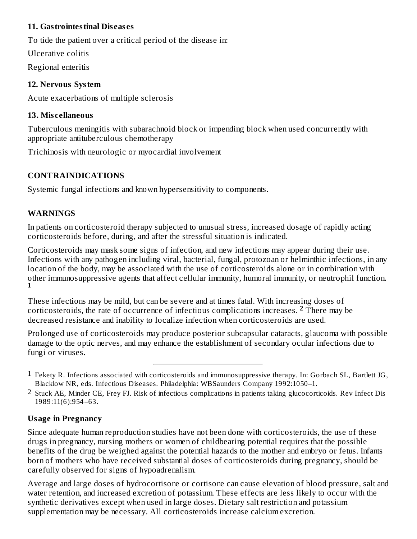#### **11. Gastrointestinal Dis eas es**

To tide the patient over a critical period of the disease in:

Ulcerative colitis

Regional enteritis

### **12. Nervous System**

Acute exacerbations of multiple sclerosis

### **13. Mis cellaneous**

Tuberculous meningitis with subarachnoid block or impending block when used concurrently with appropriate antituberculous chemotherapy

Trichinosis with neurologic or myocardial involvement

## **CONTRAINDICATIONS**

Systemic fungal infections and known hypersensitivity to components.

## **WARNINGS**

In patients on corticosteroid therapy subjected to unusual stress, increased dosage of rapidly acting corticosteroids before, during, and after the stressful situation is indicated.

Corticosteroids may mask some signs of infection, and new infections may appear during their use. Infections with any pathogen including viral, bacterial, fungal, protozoan or helminthic infections, in any location of the body, may be associated with the use of corticosteroids alone or in combination with other immunosuppressive agents that affect cellular immunity, humoral immunity, or neutrophil function. **1**

These infections may be mild, but can be severe and at times fatal. With increasing doses of corticosteroids, the rate of occurrence of infectious complications increases. <sup>2</sup> There may be decreased resistance and inability to localize infection when corticosteroids are used.

Prolonged use of corticosteroids may produce posterior subcapsular cataracts, glaucoma with possible damage to the optic nerves, and may enhance the establishment of secondary ocular infections due to fungi or viruses.

## **Usage in Pregnancy**

Since adequate human reproduction studies have not been done with corticosteroids, the use of these drugs in pregnancy, nursing mothers or women of childbearing potential requires that the possible benefits of the drug be weighed against the potential hazards to the mother and embryo or fetus. Infants born of mothers who have received substantial doses of corticosteroids during pregnancy, should be carefully observed for signs of hypoadrenalism.

Average and large doses of hydrocortisone or cortisone can cause elevation of blood pressure, salt and water retention, and increased excretion of potassium. These effects are less likely to occur with the synthetic derivatives except when used in large doses. Dietary salt restriction and potassium supplementation may be necessary. All corticosteroids increase calcium excretion.

 $^1\,$  Fekety R. Infections associated with corticosteroids and immunosuppressive therapy. In: Gorbach SL, Bartlett JG, Blacklow NR, eds. Infectious Diseases. Philadelphia: WBSaunders Company 1992:1050–1.

<sup>2</sup> Stuck AE, Minder CE, Frey FJ. Risk of infectious complications in patients taking glucocorticoids. Rev Infect Dis 1989:11(6):954 –63.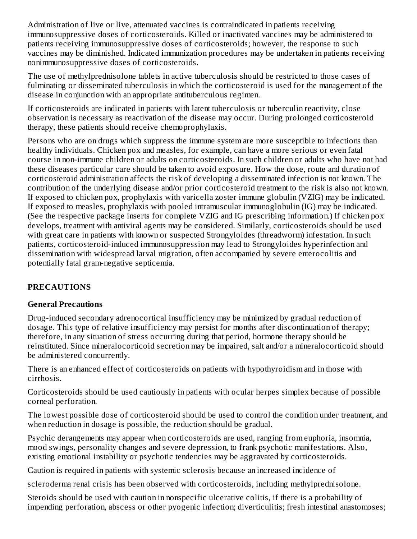Administration of live or live, attenuated vaccines is contraindicated in patients receiving immunosuppressive doses of corticosteroids. Killed or inactivated vaccines may be administered to patients receiving immunosuppressive doses of corticosteroids; however, the response to such vaccines may be diminished. Indicated immunization procedures may be undertaken in patients receiving nonimmunosuppressive doses of corticosteroids.

The use of methylprednisolone tablets in active tuberculosis should be restricted to those cases of fulminating or disseminated tuberculosis in which the corticosteroid is used for the management of the disease in conjunction with an appropriate antituberculous regimen.

If corticosteroids are indicated in patients with latent tuberculosis or tuberculin reactivity, close observation is necessary as reactivation of the disease may occur. During prolonged corticosteroid therapy, these patients should receive chemoprophylaxis.

Persons who are on drugs which suppress the immune system are more susceptible to infections than healthy individuals. Chicken pox and measles, for example, can have a more serious or even fatal course in non-immune children or adults on corticosteroids. In such children or adults who have not had these diseases particular care should be taken to avoid exposure. How the dose, route and duration of corticosteroid administration affects the risk of developing a disseminated infection is not known. The contribution of the underlying disease and/or prior corticosteroid treatment to the risk is also not known. If exposed to chicken pox, prophylaxis with varicella zoster immune globulin (VZIG) may be indicated. If exposed to measles, prophylaxis with pooled intramuscular immunoglobulin (IG) may be indicated. (See the respective package inserts for complete VZIG and IG prescribing information.) If chicken pox develops, treatment with antiviral agents may be considered. Similarly, corticosteroids should be used with great care in patients with known or suspected Strongyloides (threadworm) infestation. In such patients, corticosteroid-induced immunosuppression may lead to Strongyloides hyperinfection and dissemination with widespread larval migration, often accompanied by severe enterocolitis and potentially fatal gram-negative septicemia.

## **PRECAUTIONS**

## **General Precautions**

Drug-induced secondary adrenocortical insufficiency may be minimized by gradual reduction of dosage. This type of relative insufficiency may persist for months after discontinuation of therapy; therefore, in any situation of stress occurring during that period, hormone therapy should be reinstituted. Since mineralocorticoid secretion may be impaired, salt and/or a mineralocorticoid should be administered concurrently.

There is an enhanced effect of corticosteroids on patients with hypothyroidism and in those with cirrhosis.

Corticosteroids should be used cautiously in patients with ocular herpes simplex because of possible corneal perforation.

The lowest possible dose of corticosteroid should be used to control the condition under treatment, and when reduction in dosage is possible, the reduction should be gradual.

Psychic derangements may appear when corticosteroids are used, ranging from euphoria, insomnia, mood swings, personality changes and severe depression, to frank psychotic manifestations. Also, existing emotional instability or psychotic tendencies may be aggravated by corticosteroids.

Caution is required in patients with systemic sclerosis because an increased incidence of

scleroderma renal crisis has been observed with corticosteroids, including methylprednisolone.

Steroids should be used with caution in nonspecific ulcerative colitis, if there is a probability of impending perforation, abscess or other pyogenic infection; diverticulitis; fresh intestinal anastomoses;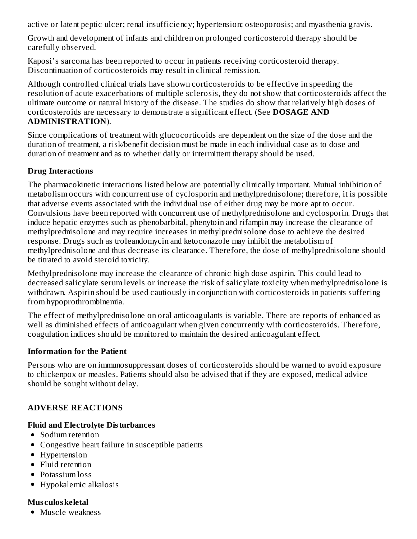active or latent peptic ulcer; renal insufficiency; hypertension; osteoporosis; and myasthenia gravis.

Growth and development of infants and children on prolonged corticosteroid therapy should be carefully observed.

Kaposi's sarcoma has been reported to occur in patients receiving corticosteroid therapy. Discontinuation of corticosteroids may result in clinical remission.

Although controlled clinical trials have shown corticosteroids to be effective in speeding the resolution of acute exacerbations of multiple sclerosis, they do not show that corticosteroids affect the ultimate outcome or natural history of the disease. The studies do show that relatively high doses of corticosteroids are necessary to demonstrate a significant effect. (See **DOSAGE AND ADMINISTRATION**).

Since complications of treatment with glucocorticoids are dependent on the size of the dose and the duration of treatment, a risk/benefit decision must be made in each individual case as to dose and duration of treatment and as to whether daily or intermittent therapy should be used.

### **Drug Interactions**

The pharmacokinetic interactions listed below are potentially clinically important. Mutual inhibition of metabolism occurs with concurrent use of cyclosporin and methylprednisolone; therefore, it is possible that adverse events associated with the individual use of either drug may be more apt to occur. Convulsions have been reported with concurrent use of methylprednisolone and cyclosporin. Drugs that induce hepatic enzymes such as phenobarbital, phenytoin and rifampin may increase the clearance of methylprednisolone and may require increases in methylprednisolone dose to achieve the desired response. Drugs such as troleandomycin and ketoconazole may inhibit the metabolism of methylprednisolone and thus decrease its clearance. Therefore, the dose of methylprednisolone should be titrated to avoid steroid toxicity.

Methylprednisolone may increase the clearance of chronic high dose aspirin. This could lead to decreased salicylate serum levels or increase the risk of salicylate toxicity when methylprednisolone is withdrawn. Aspirin should be used cautiously in conjunction with corticosteroids in patients suffering from hypoprothrombinemia.

The effect of methylprednisolone on oral anticoagulants is variable. There are reports of enhanced as well as diminished effects of anticoagulant when given concurrently with corticosteroids. Therefore, coagulation indices should be monitored to maintain the desired anticoagulant effect.

### **Information for the Patient**

Persons who are on immunosuppressant doses of corticosteroids should be warned to avoid exposure to chickenpox or measles. Patients should also be advised that if they are exposed, medical advice should be sought without delay.

## **ADVERSE REACTIONS**

## **Fluid and Electrolyte Disturbances**

- Sodium retention
- Congestive heart failure in susceptible patients
- Hypertension
- Fluid retention
- Potassium loss
- Hypokalemic alkalosis

## **Mus culoskeletal**

Muscle weakness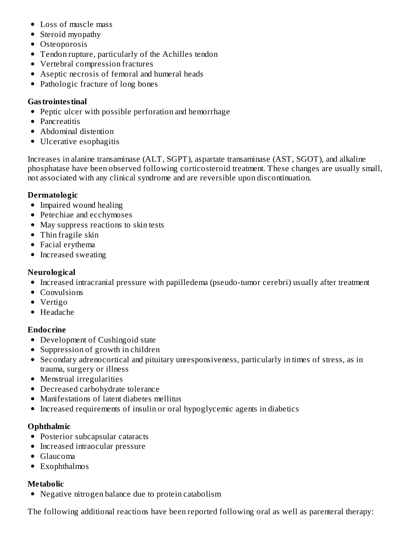- Loss of muscle mass
- Steroid myopathy
- Osteoporosis
- Tendon rupture, particularly of the Achilles tendon
- Vertebral compression fractures
- Aseptic necrosis of femoral and humeral heads
- Pathologic fracture of long bones

#### **Gastrointestinal**

- Peptic ulcer with possible perforation and hemorrhage
- Pancreatitis
- Abdominal distention
- Ulcerative esophagitis

Increases in alanine transaminase (ALT, SGPT), aspartate transaminase (AST, SGOT), and alkaline phosphatase have been observed following corticosteroid treatment. These changes are usually small, not associated with any clinical syndrome and are reversible upon discontinuation.

#### **Dermatologic**

- Impaired wound healing
- Petechiae and ecchymoses
- May suppress reactions to skin tests
- Thin fragile skin
- Facial erythema
- Increased sweating

#### **Neurological**

- Increased intracranial pressure with papilledema (pseudo-tumor cerebri) usually after treatment
- Convulsions
- Vertigo
- Headache

### **Endocrine**

- Development of Cushingoid state
- Suppression of growth in children
- Secondary adrenocortical and pituitary unresponsiveness, particularly in times of stress, as in trauma, surgery or illness
- Menstrual irregularities
- Decreased carbohydrate tolerance
- Manifestations of latent diabetes mellitus
- Increased requirements of insulin or oral hypoglycemic agents in diabetics

### **Ophthalmic**

- Posterior subcapsular cataracts
- Increased intraocular pressure
- Glaucoma
- Exophthalmos

#### **Metabolic**

Negative nitrogen balance due to protein catabolism

The following additional reactions have been reported following oral as well as parenteral therapy: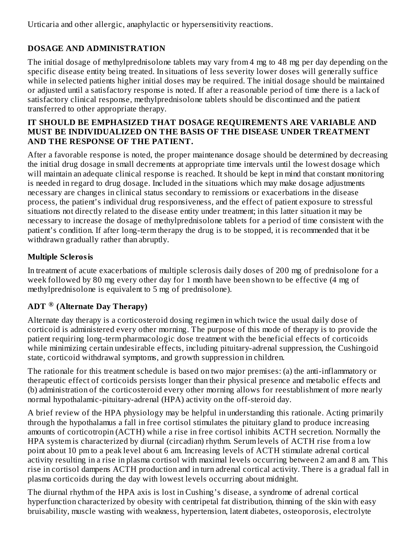Urticaria and other allergic, anaphylactic or hypersensitivity reactions.

## **DOSAGE AND ADMINISTRATION**

The initial dosage of methylprednisolone tablets may vary from 4 mg to 48 mg per day depending on the specific disease entity being treated. In situations of less severity lower doses will generally suffice while in selected patients higher initial doses may be required. The initial dosage should be maintained or adjusted until a satisfactory response is noted. If after a reasonable period of time there is a lack of satisfactory clinical response, methylprednisolone tablets should be discontinued and the patient transferred to other appropriate therapy.

#### **IT SHOULD BE EMPHASIZED THAT DOSAGE REQUIREMENTS ARE VARIABLE AND MUST BE INDIVIDUALIZED ON THE BASIS OF THE DISEASE UNDER TREATMENT AND THE RESPONSE OF THE PATIENT.**

After a favorable response is noted, the proper maintenance dosage should be determined by decreasing the initial drug dosage in small decrements at appropriate time intervals until the lowest dosage which will maintain an adequate clinical response is reached. It should be kept in mind that constant monitoring is needed in regard to drug dosage. Included in the situations which may make dosage adjustments necessary are changes in clinical status secondary to remissions or exacerbations in the disease process, the patient's individual drug responsiveness, and the effect of patient exposure to stressful situations not directly related to the disease entity under treatment; in this latter situation it may be necessary to increase the dosage of methylprednisolone tablets for a period of time consistent with the patient's condition. If after long-term therapy the drug is to be stopped, it is recommended that it be withdrawn gradually rather than abruptly.

## **Multiple Sclerosis**

In treatment of acute exacerbations of multiple sclerosis daily doses of 200 mg of prednisolone for a week followed by 80 mg every other day for 1 month have been shown to be effective (4 mg of methylprednisolone is equivalent to 5 mg of prednisolone).

# **ADT (Alternate Day Therapy) ®**

Alternate day therapy is a corticosteroid dosing regimen in which twice the usual daily dose of corticoid is administered every other morning. The purpose of this mode of therapy is to provide the patient requiring long-term pharmacologic dose treatment with the beneficial effects of corticoids while minimizing certain undesirable effects, including pituitary-adrenal suppression, the Cushingoid state, corticoid withdrawal symptoms, and growth suppression in children.

The rationale for this treatment schedule is based on two major premises: (a) the anti-inflammatory or therapeutic effect of corticoids persists longer than their physical presence and metabolic effects and (b) administration of the corticosteroid every other morning allows for reestablishment of more nearly normal hypothalamic-pituitary-adrenal (HPA) activity on the off-steroid day.

A brief review of the HPA physiology may be helpful in understanding this rationale. Acting primarily through the hypothalamus a fall in free cortisol stimulates the pituitary gland to produce increasing amounts of corticotropin (ACTH) while a rise in free cortisol inhibits ACTH secretion. Normally the HPA system is characterized by diurnal (circadian) rhythm. Serum levels of ACTH rise from a low point about 10 pm to a peak level about 6 am. Increasing levels of ACTH stimulate adrenal cortical activity resulting in a rise in plasma cortisol with maximal levels occurring between 2 am and 8 am. This rise in cortisol dampens ACTH production and in turn adrenal cortical activity. There is a gradual fall in plasma corticoids during the day with lowest levels occurring about midnight.

The diurnal rhythm of the HPA axis is lost in Cushing's disease, a syndrome of adrenal cortical hyperfunction characterized by obesity with centripetal fat distribution, thinning of the skin with easy bruisability, muscle wasting with weakness, hypertension, latent diabetes, osteoporosis, electrolyte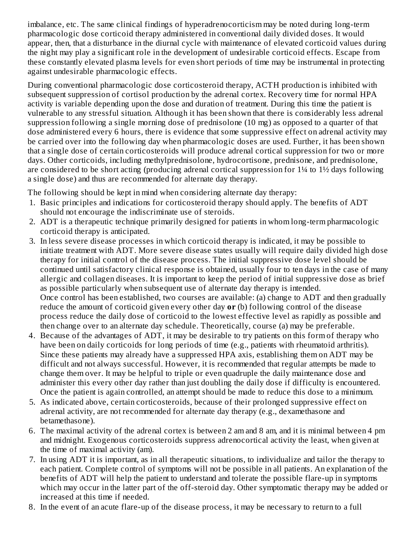imbalance, etc. The same clinical findings of hyperadrenocorticism may be noted during long-term pharmacologic dose corticoid therapy administered in conventional daily divided doses. It would appear, then, that a disturbance in the diurnal cycle with maintenance of elevated corticoid values during the night may play a significant role in the development of undesirable corticoid effects. Escape from these constantly elevated plasma levels for even short periods of time may be instrumental in protecting against undesirable pharmacologic effects.

During conventional pharmacologic dose corticosteroid therapy, ACTH production is inhibited with subsequent suppression of cortisol production by the adrenal cortex. Recovery time for normal HPA activity is variable depending upon the dose and duration of treatment. During this time the patient is vulnerable to any stressful situation. Although it has been shown that there is considerably less adrenal suppression following a single morning dose of prednisolone (10 mg) as opposed to a quarter of that dose administered every 6 hours, there is evidence that some suppressive effect on adrenal activity may be carried over into the following day when pharmacologic doses are used. Further, it has been shown that a single dose of certain corticosteroids will produce adrenal cortical suppression for two or more days. Other corticoids, including methylprednisolone, hydrocortisone, prednisone, and prednisolone, are considered to be short acting (producing adrenal cortical suppression for 1¼ to 1½ days following a single dose) and thus are recommended for alternate day therapy.

The following should be kept in mind when considering alternate day therapy:

- 1. Basic principles and indications for corticosteroid therapy should apply. The benefits of ADT should not encourage the indiscriminate use of steroids.
- 2. ADT is a therapeutic technique primarily designed for patients in whom long-term pharmacologic corticoid therapy is anticipated.
- 3. In less severe disease processes in which corticoid therapy is indicated, it may be possible to initiate treatment with ADT. More severe disease states usually will require daily divided high dose therapy for initial control of the disease process. The initial suppressive dose level should be continued until satisfactory clinical response is obtained, usually four to ten days in the case of many allergic and collagen diseases. It is important to keep the period of initial suppressive dose as brief as possible particularly when subsequent use of alternate day therapy is intended. Once control has been established, two courses are available: (a) change to ADT and then gradually reduce the amount of corticoid given every other day **or** (b) following control of the disease process reduce the daily dose of corticoid to the lowest effective level as rapidly as possible and then change over to an alternate day schedule. Theoretically, course (a) may be preferable.
- 4. Because of the advantages of ADT, it may be desirable to try patients on this form of therapy who have been on daily corticoids for long periods of time (e.g., patients with rheumatoid arthritis). Since these patients may already have a suppressed HPA axis, establishing them on ADT may be difficult and not always successful. However, it is recommended that regular attempts be made to change them over. It may be helpful to triple or even quadruple the daily maintenance dose and administer this every other day rather than just doubling the daily dose if difficulty is encountered. Once the patient is again controlled, an attempt should be made to reduce this dose to a minimum.
- 5. As indicated above, certain corticosteroids, because of their prolonged suppressive effect on adrenal activity, are not recommended for alternate day therapy (e.g., dexamethasone and betamethasone).
- 6. The maximal activity of the adrenal cortex is between 2 am and 8 am, and it is minimal between 4 pm and midnight. Exogenous corticosteroids suppress adrenocortical activity the least, when given at the time of maximal activity (am).
- 7. In using ADT it is important, as in all therapeutic situations, to individualize and tailor the therapy to each patient. Complete control of symptoms will not be possible in all patients. An explanation of the benefits of ADT will help the patient to understand and tolerate the possible flare-up in symptoms which may occur in the latter part of the off-steroid day. Other symptomatic therapy may be added or increased at this time if needed.
- 8. In the event of an acute flare-up of the disease process, it may be necessary to return to a full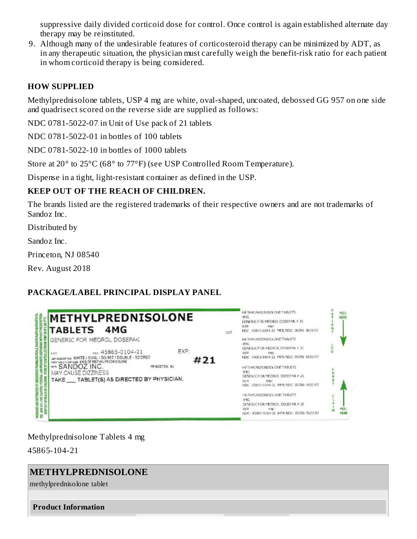suppressive daily divided corticoid dose for control. Once control is again established alternate day therapy may be reinstituted.

9. Although many of the undesirable features of corticosteroid therapy can be minimized by ADT, as in any therapeutic situation, the physician must carefully weigh the benefit-risk ratio for each patient in whom corticoid therapy is being considered.

#### **HOW SUPPLIED**

Methylprednisolone tablets, USP 4 mg are white, oval-shaped, uncoated, debossed GG 957 on one side and quadrisect scored on the reverse side are supplied as follows:

NDC 0781-5022-07 in Unit of Use pack of 21 tablets

NDC 0781-5022-01 in bottles of 100 tablets

NDC 0781-5022-10 in bottles of 1000 tablets

Store at 20° to 25°C (68° to 77°F) (see USP Controlled Room Temperature).

Dispense in a tight, light-resistant container as defined in the USP.

### **KEEP OUT OF THE REACH OF CHILDREN.**

The brands listed are the registered trademarks of their respective owners and are not trademarks of Sandoz Inc.

Distributed by

Sandoz Inc.

Princeton, NJ 08540

Rev. August 2018

### **PACKAGE/LABEL PRINCIPAL DISPLAY PANEL**

| <b>METHYLPREDNISOLONE</b><br><b>TABLETS 4MG</b>                                                                                                                                                                                                           | <b><i>NETHA PREDNISOLONE TABLETS</i></b><br>4MG<br>GENERIC FOR MEDROL DOSEPAK # 21<br><b>MAG</b><br>#WIV<br>NDC: 45865-6104-21 MFR NDC: 00761-5022-07                                                                                                                                                                                                                                                                            | PEEL<br>HERI |
|-----------------------------------------------------------------------------------------------------------------------------------------------------------------------------------------------------------------------------------------------------------|----------------------------------------------------------------------------------------------------------------------------------------------------------------------------------------------------------------------------------------------------------------------------------------------------------------------------------------------------------------------------------------------------------------------------------|--------------|
| GENERIC FOR MEDROL DOSEPAK<br>EXP:<br>Not: 45865-0104-21<br>UHITE / OVAL / GG 957 / DOUBLE - SCORED<br>#21<br>435G OF METHYLPREDMISOLONE<br>we SANDOZ INC.<br><b>PRINCETON, NJ</b><br>MAY CAUSE DIZZINESS<br>TAKE ___ TABLET(S) AS DIRECTED BY PHYSICIAN. | ME THYLPREDNISOLONE TABLETS<br>455G<br><b>GENERIC FOR MEDROL DOSERAK # 21</b><br>loter<br>NDC: 45865-0104-21 MFR. NDC: 00701-5022-07<br>NETHA PREDNISOLONE TABLETS.<br>思化し<br>GENERIC FOR MEDROL DOSEPAK # 21<br>lottr<br><b>EXD:</b><br>NDC: 45855-0104-21 MFR NDC: 00781-5022-07<br>NETHYLPREDNISOLONE TABLETS<br><b>OVES</b><br>GENERIC FOR MEDROL DOSEPAK # 21<br>lot #<br>@bp:<br>NDC: 45865-0104-21 MFR NDC: 00781-5022-07 |              |

#### Methylprednisolone Tablets 4 mg

45865-104-21

## **METHYLPREDNISOLONE**

methylprednisolone tablet

**Product Information**